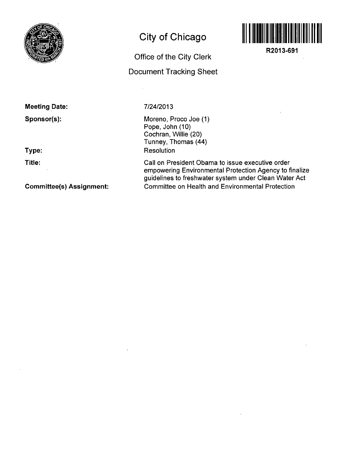

## **City of Chicago**

# **Document Tracking Sheet**

**Office of the City Clerk** 



**R2013-691** 

### **Meeting Date:**

**Sponsor(s):** 

#### **Type:**

**Title:** 

**Committee(s) Assignment:** 

#### 7/24/2013

Moreno, Proco Joe (1) Pope, John (10) Cochran, Willie (20) Tunney, Thomas (44) Resolution

Call on President Obama to issue executive order empowering Environmental Protection Agency to finalize guidelines to freshwater system under Clean Water Act Committee on Health and Environmental Protection